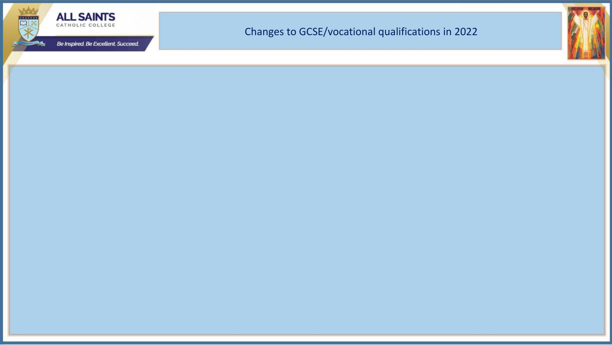

#### Changes to GCSE/vocational qualifications in 2022

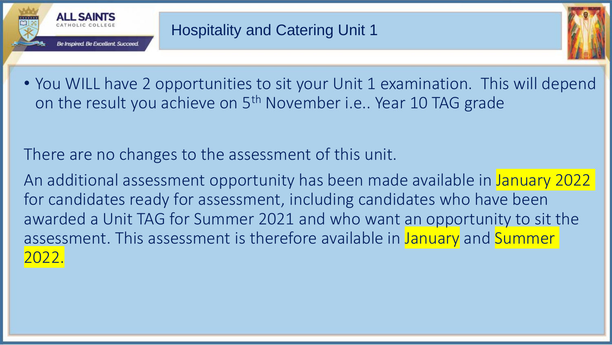



• You WILL have 2 opportunities to sit your Unit 1 examination. This will depend on the result you achieve on 5<sup>th</sup> November i.e.. Year 10 TAG grade

There are no changes to the assessment of this unit.

An additional assessment opportunity has been made available in January 2022 for candidates ready for assessment, including candidates who have been awarded a Unit TAG for Summer 2021 and who want an opportunity to sit the assessment. This assessment is therefore available in January and Summer 2022.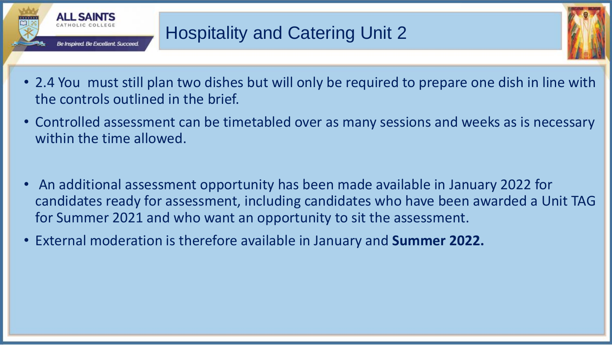



- 2.4 You must still plan two dishes but will only be required to prepare one dish in line with the controls outlined in the brief.
- Controlled assessment can be timetabled over as many sessions and weeks as is necessary within the time allowed.
- An additional assessment opportunity has been made available in January 2022 for candidates ready for assessment, including candidates who have been awarded a Unit TAG for Summer 2021 and who want an opportunity to sit the assessment.
- External moderation is therefore available in January and **Summer 2022.**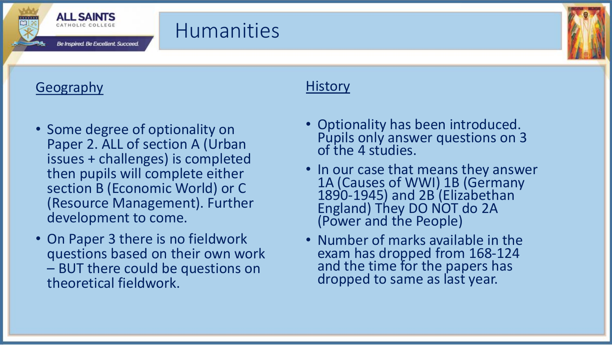

### **Humanities**

#### Geography

- Some degree of optionality on Paper 2. ALL of section A (Urban issues + challenges) is completed then pupils will complete either section B (Economic World) or C (Resource Management). Further development to come.
- On Paper 3 there is no fieldwork questions based on their own work – BUT there could be questions on theoretical fieldwork.

#### **History**

- Optionality has been introduced. Pupils only answer questions on 3 of the 4 studies.
- In our case that means they answer 1A (Causes of WWI) 1B (Germany 1890-1945) and 2B (Elizabethan England) They DO NOT do 2A (Power and the People)
- Number of marks available in the exam has dropped from 168-124 and the time for the papers has dropped to same as last year.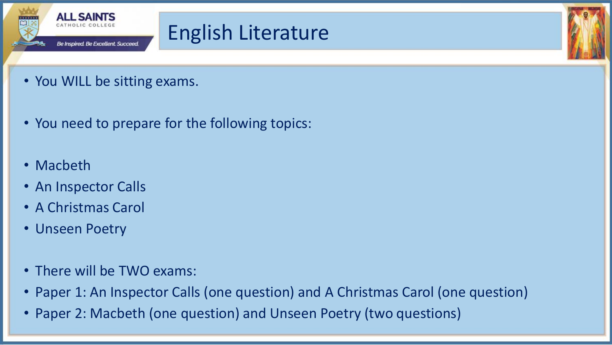

## English Literature

- You WILL be sitting exams.
- You need to prepare for the following topics:
- Macbeth
- An Inspector Calls
- A Christmas Carol
- Unseen Poetry
- There will be TWO exams:
- Paper 1: An Inspector Calls (one question) and A Christmas Carol (one question)
- Paper 2: Macbeth (one question) and Unseen Poetry (two questions)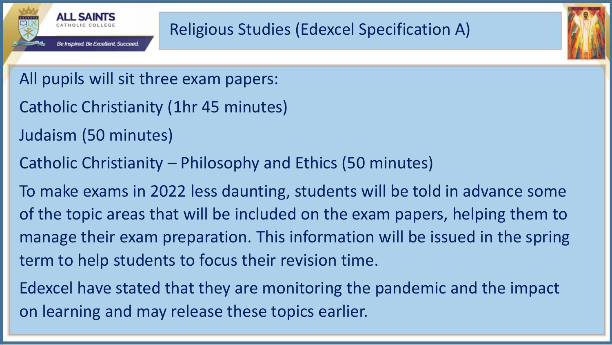



- Catholic Christianity (1hr 45 minutes)
- Judaism (50 minutes)
- Catholic Christianity Philosophy and Ethics (50 minutes)

To make exams in 2022 less daunting, students will be told in advance some of the topic areas that will be included on the exam papers, helping them to manage their exam preparation. This information will be issued in the spring term to help students to focus their revision time.

Edexcel have stated that they are monitoring the pandemic and the impact on learning and may release these topics earlier.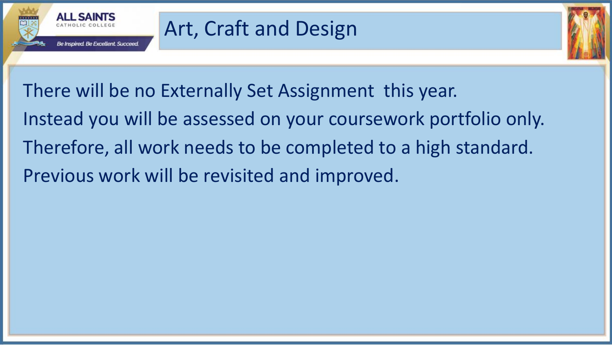

# Art, Craft and Design

There will be no Externally Set Assignment this year. Instead you will be assessed on your coursework portfolio only.

Therefore, all work needs to be completed to a high standard.

Previous work will be revisited and improved.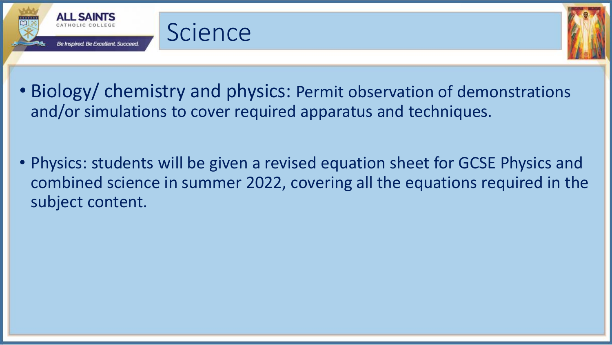



• Biology/ chemistry and physics: Permit observation of demonstrations and/or simulations to cover required apparatus and techniques.

**Science** 

• Physics: students will be given a revised equation sheet for GCSE Physics and combined science in summer 2022, covering all the equations required in the subject content.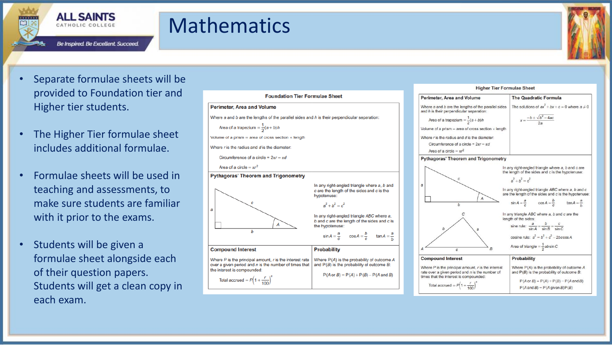

### Mathematics

**ALL SAINTS** CATHOLIC COLLEGE



- Separate formulae sheets will be provided to Foundation tier and Higher tier students.
- The Higher Tier formulae sheet includes additional formulae.
- Formulae sheets will be used in teaching and assessments, to make sure students are familiar with it prior to the exams.
- Students will be given a formulae sheet alongside each of their question papers. Students will get a clean copy in each exam.